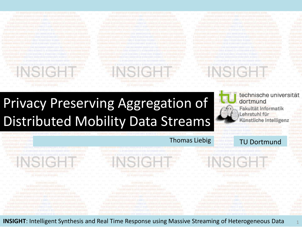0081010 01081001 03081110 0101011 01001051 03000111 01001000 01001 0100011101001000 01010100.00100000 000011010000101 

0081010 01081001 03081110 0101011 01001051 03000111 01001000 818813198811101001000.01010100.00100000.0000.15810000101 0 03003903 03001110 01010011 01001001 01000111 03001000 0

0081010 01081001 03081110 0101011 01001081 01000111 01001000 8188131888111010010001001010100.00100000.0000110101010101 0 03041941 01001110 01010011 01001001 01000111 03041000 0

1

# Privacy Preserving Aggregation of Distributed Mobility Data Streams

#### technische universität dortmund

Fakultät Informatik Lehrstuhl für Künstliche Intelligenz

0 03001981 01001110 01010011 01001001 01000111 03001000 0

#### Thomas Liebig TU Dortmund

01001 01000111 01001000 01010100 00100000 00001101000101 0 03041941 01001110 01010011 01001001 01000111 03041000 0

0081010 01081001 03081110 0101011 01001081 01000111 01001000

0 03041941 01001110 01010011 01001001 01000111 01041000 0

**INSIGHT**: Intelligent Synthesis and Real Time Response using Massive Streaming of Heterogeneous Data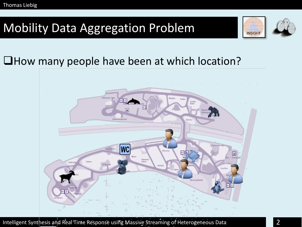## Mobility Data Aggregation Problem





#### How many people have been at which location?

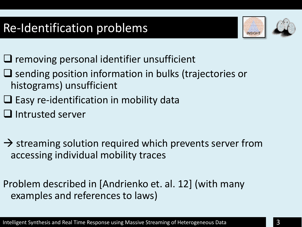# Re-Identification problems





- $\Box$  removing personal identifier unsufficient
- $\Box$  sending position information in bulks (trajectories or histograms) unsufficient
- $\Box$  Easy re-identification in mobility data
- $\Box$  Intrusted server
- $\rightarrow$  streaming solution required which prevents server from accessing individual mobility traces
- Problem described in [Andrienko et. al. 12] (with many examples and references to laws)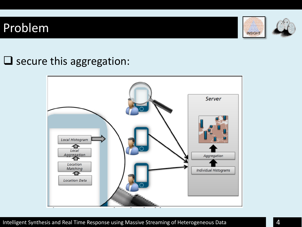#### Problem





#### $\square$  secure this aggregation:

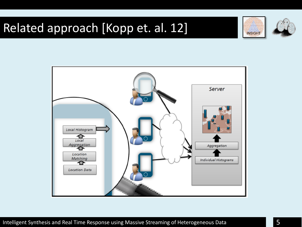## Related approach [Kopp et. al. 12]





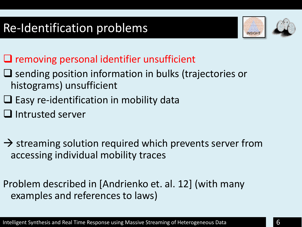# Re-Identification problems





- $\Box$  removing personal identifier unsufficient
- $\Box$  sending position information in bulks (trajectories or histograms) unsufficient
- $\Box$  Easy re-identification in mobility data
- $\Box$  Intrusted server
- $\rightarrow$  streaming solution required which prevents server from accessing individual mobility traces
- Problem described in [Andrienko et. al. 12] (with many examples and references to laws)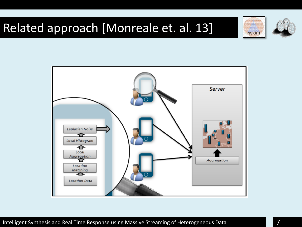## Related approach [Monreale et. al. 13]





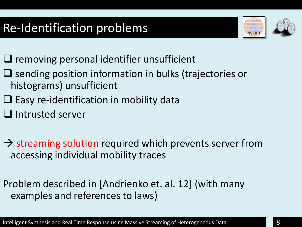# Re-Identification problems





- $\Box$  removing personal identifier unsufficient
- $\Box$  sending position information in bulks (trajectories or histograms) unsufficient
- $\Box$  Easy re-identification in mobility data
- $\Box$  Intrusted server
- $\rightarrow$  streaming solution required which prevents server from accessing individual mobility traces
- Problem described in [Andrienko et. al. 12] (with many examples and references to laws)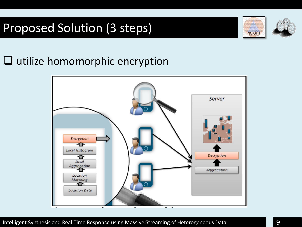# Proposed Solution (3 steps)





#### $\Box$  utilize homomorphic encryption

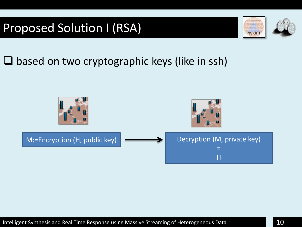## Proposed Solution I (RSA)





#### $\square$  based on two cryptographic keys (like in ssh)

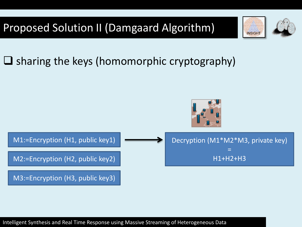



### $\Box$  sharing the keys (homomorphic cryptography)



Intelligent Synthesis and Real Time Response using Massive Streaming of Heterogeneous Data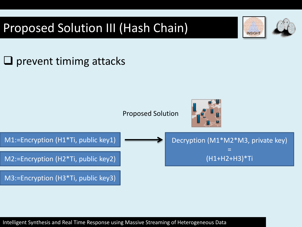# Proposed Solution III (Hash Chain)





**INSIGHT** 

Intelligent Synthesis and Real Time Response using Massive Streaming of Heterogeneous Data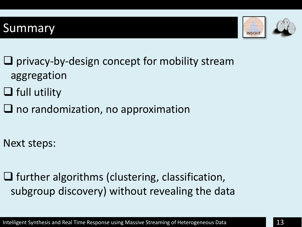#### **Summary**





- $\Box$  privacy-by-design concept for mobility stream aggregation
- $\Box$  full utility
- $\Box$  no randomization, no approximation
- Next steps:
- $\Box$  further algorithms (clustering, classification, subgroup discovery) without revealing the data